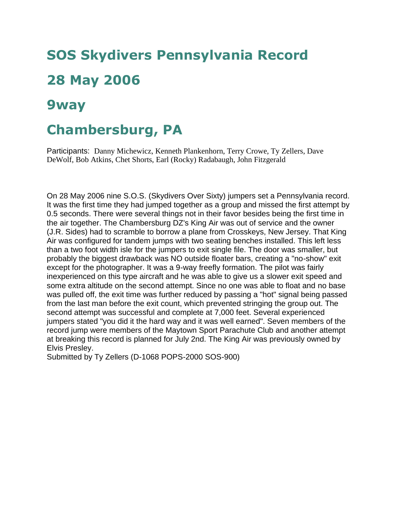## **SOS Skydivers Pennsylvania Record 28 May 2006**

## **9way**

## **Chambersburg, PA**

Participants: Danny Michewicz, Kenneth Plankenhorn, Terry Crowe, Ty Zellers, Dave DeWolf, Bob Atkins, Chet Shorts, Earl (Rocky) Radabaugh, John Fitzgerald

On 28 May 2006 nine S.O.S. (Skydivers Over Sixty) jumpers set a Pennsylvania record. It was the first time they had jumped together as a group and missed the first attempt by 0.5 seconds. There were several things not in their favor besides being the first time in the air together. The Chambersburg DZ's King Air was out of service and the owner (J.R. Sides) had to scramble to borrow a plane from Crosskeys, New Jersey. That King Air was configured for tandem jumps with two seating benches installed. This left less than a two foot width isle for the jumpers to exit single file. The door was smaller, but probably the biggest drawback was NO outside floater bars, creating a "no-show" exit except for the photographer. It was a 9-way freefly formation. The pilot was fairly inexperienced on this type aircraft and he was able to give us a slower exit speed and some extra altitude on the second attempt. Since no one was able to float and no base was pulled off, the exit time was further reduced by passing a "hot" signal being passed from the last man before the exit count, which prevented stringing the group out. The second attempt was successful and complete at 7,000 feet. Several experienced jumpers stated "you did it the hard way and it was well earned". Seven members of the record jump were members of the Maytown Sport Parachute Club and another attempt at breaking this record is planned for July 2nd. The King Air was previously owned by Elvis Presley.

Submitted by Ty Zellers (D-1068 POPS-2000 SOS-900)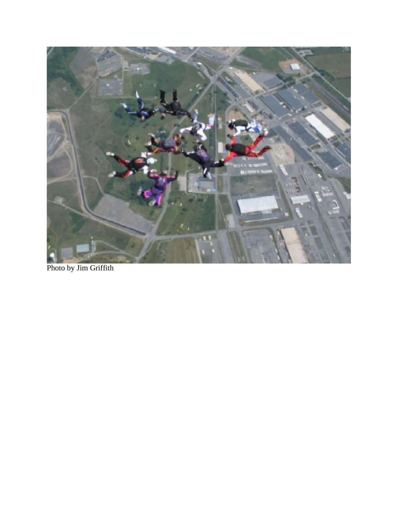

Photo by Jim Griffith